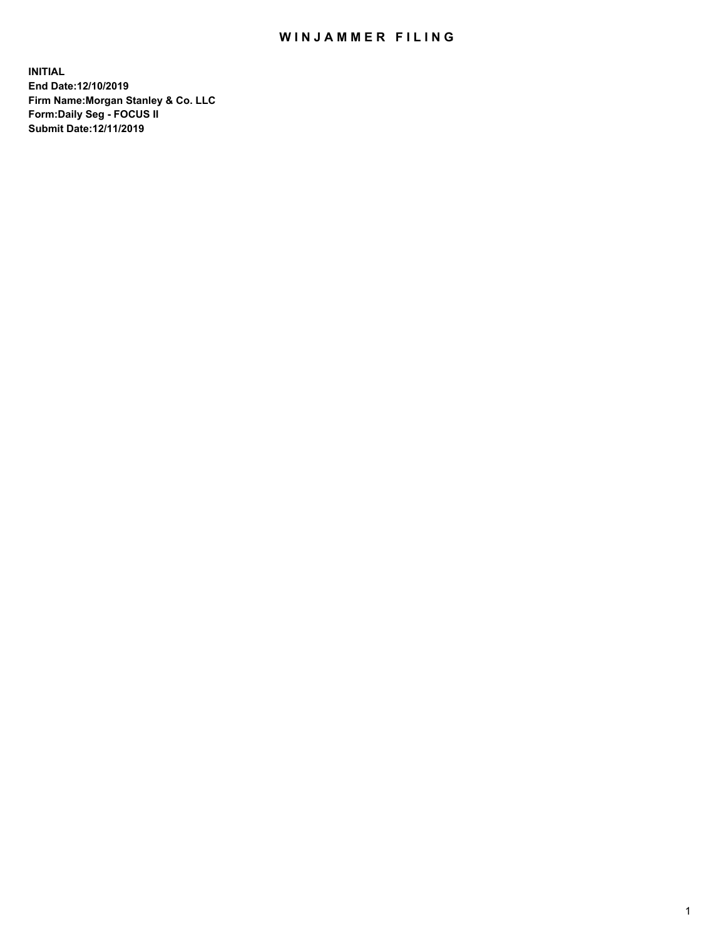## WIN JAMMER FILING

**INITIAL End Date:12/10/2019 Firm Name:Morgan Stanley & Co. LLC Form:Daily Seg - FOCUS II Submit Date:12/11/2019**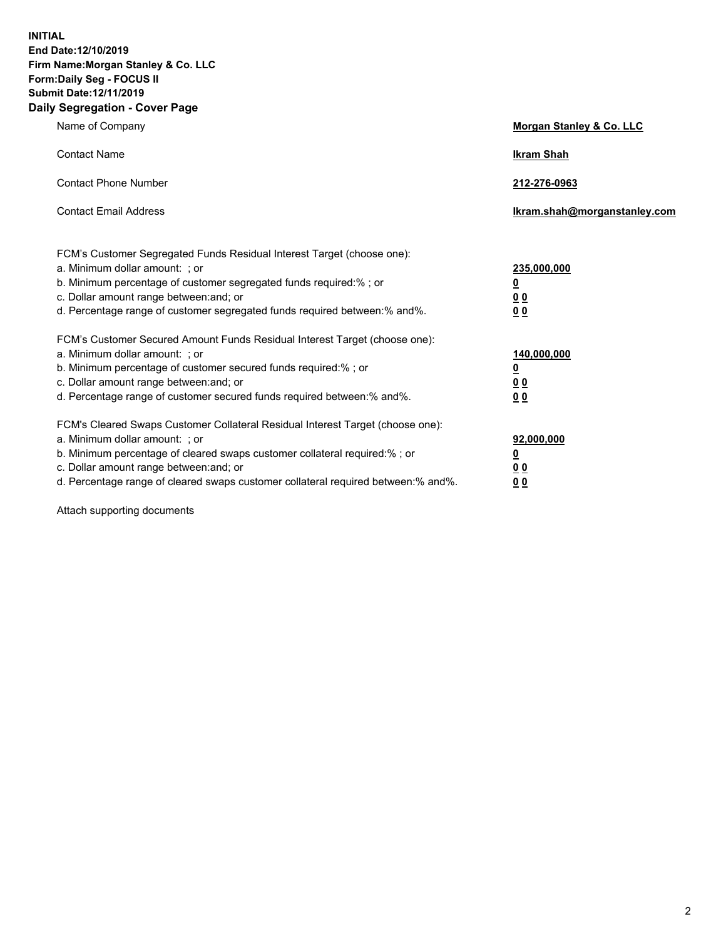**INITIAL End Date:12/10/2019 Firm Name:Morgan Stanley & Co. LLC Form:Daily Seg - FOCUS II Submit Date:12/11/2019 Daily Segregation - Cover Page**

| Name of Company                                                                                                                                                                                                                                                                                                                | Morgan Stanley & Co. LLC                               |
|--------------------------------------------------------------------------------------------------------------------------------------------------------------------------------------------------------------------------------------------------------------------------------------------------------------------------------|--------------------------------------------------------|
| <b>Contact Name</b>                                                                                                                                                                                                                                                                                                            | <b>Ikram Shah</b>                                      |
| <b>Contact Phone Number</b>                                                                                                                                                                                                                                                                                                    | 212-276-0963                                           |
| <b>Contact Email Address</b>                                                                                                                                                                                                                                                                                                   | Ikram.shah@morganstanley.com                           |
| FCM's Customer Segregated Funds Residual Interest Target (choose one):<br>a. Minimum dollar amount: ; or<br>b. Minimum percentage of customer segregated funds required:% ; or<br>c. Dollar amount range between: and; or<br>d. Percentage range of customer segregated funds required between:% and%.                         | 235,000,000<br><u>0</u><br>00<br>00                    |
| FCM's Customer Secured Amount Funds Residual Interest Target (choose one):<br>a. Minimum dollar amount: ; or<br>b. Minimum percentage of customer secured funds required:%; or<br>c. Dollar amount range between: and; or<br>d. Percentage range of customer secured funds required between: % and %.                          | 140,000,000<br><u>0</u><br><u>00</u><br>0 <sub>0</sub> |
| FCM's Cleared Swaps Customer Collateral Residual Interest Target (choose one):<br>a. Minimum dollar amount: ; or<br>b. Minimum percentage of cleared swaps customer collateral required:% ; or<br>c. Dollar amount range between: and; or<br>d. Percentage range of cleared swaps customer collateral required between:% and%. | 92,000,000<br><u>0</u><br>0 Q<br>00                    |

Attach supporting documents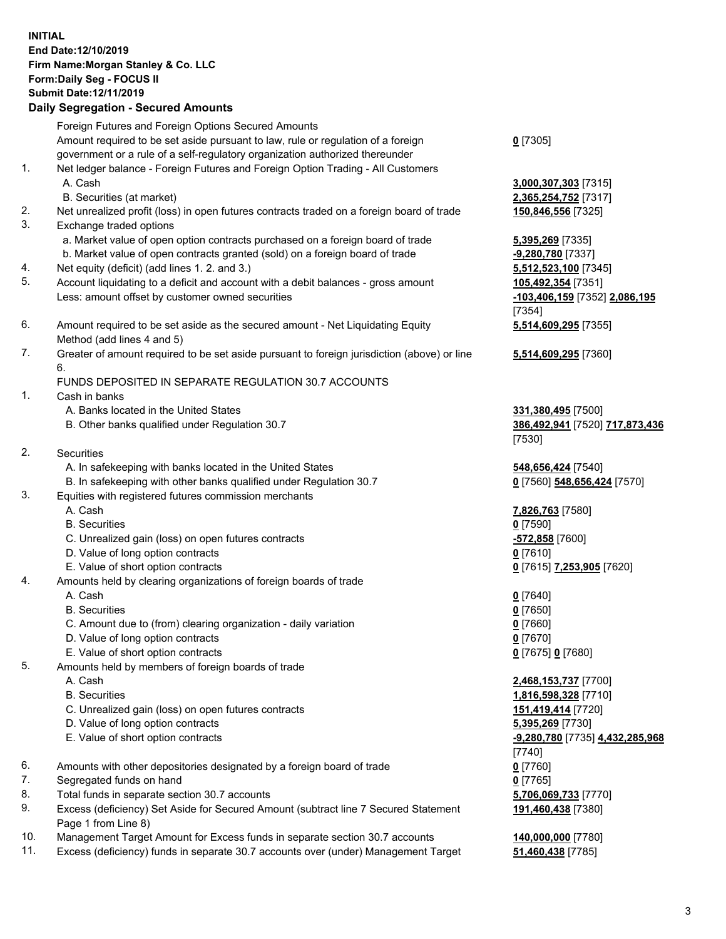## **INITIAL End Date:12/10/2019 Firm Name:Morgan Stanley & Co. LLC Form:Daily Seg - FOCUS II Submit Date:12/11/2019**

## **Daily Segregation - Secured Amounts**

Foreign Futures and Foreign Options Secured Amounts Amount required to be set aside pursuant to law, rule or regulation of a foreign government or a rule of a self-regulatory organization authorized thereunder 1. Net ledger balance - Foreign Futures and Foreign Option Trading - All Customers A. Cash **3,000,307,303** [7315] B. Securities (at market) **2,365,254,752** [7317] 2. Net unrealized profit (loss) in open futures contracts traded on a foreign board of trade **150,846,556** [7325] 3. Exchange traded options a. Market value of open option contracts purchased on a foreign board of trade **5,395,269** [7335] b. Market value of open contracts granted (sold) on a foreign board of trade **-9,280,780** [7337] 4. Net equity (deficit) (add lines 1. 2. and 3.) **5,512,523,100** [7345] 5. Account liquidating to a deficit and account with a debit balances - gross amount **105,492,354** [7351] Less: amount offset by customer owned securities **-103,406,159** [7352] **2,086,195** 6. Amount required to be set aside as the secured amount - Net Liquidating Equity Method (add lines 4 and 5) 7. Greater of amount required to be set aside pursuant to foreign jurisdiction (above) or line 6. FUNDS DEPOSITED IN SEPARATE REGULATION 30.7 ACCOUNTS 1. Cash in banks A. Banks located in the United States **331,380,495** [7500] B. Other banks qualified under Regulation 30.7 **386,492,941** [7520] **717,873,436**

- 2. Securities
	- A. In safekeeping with banks located in the United States **548,656,424** [7540]
	- B. In safekeeping with other banks qualified under Regulation 30.7 **0** [7560] **548,656,424** [7570]
- 3. Equities with registered futures commission merchants
	-
	- B. Securities **0** [7590]
	- C. Unrealized gain (loss) on open futures contracts **-572,858** [7600]
	- D. Value of long option contracts **0** [7610]
- E. Value of short option contracts **0** [7615] **7,253,905** [7620]
- 4. Amounts held by clearing organizations of foreign boards of trade
	- A. Cash **0** [7640]
	- B. Securities **0** [7650]
	- C. Amount due to (from) clearing organization daily variation **0** [7660]
	- D. Value of long option contracts **0** [7670]
	- E. Value of short option contracts **0** [7675] **0** [7680]
- 5. Amounts held by members of foreign boards of trade
	-
	-
	- C. Unrealized gain (loss) on open futures contracts **151,419,414** [7720]
	- D. Value of long option contracts **5,395,269** [7730]
	- E. Value of short option contracts **-9,280,780** [7735] **4,432,285,968**
- 6. Amounts with other depositories designated by a foreign board of trade **0** [7760]
- 7. Segregated funds on hand **0** [7765]
- 8. Total funds in separate section 30.7 accounts **5,706,069,733** [7770]
- 9. Excess (deficiency) Set Aside for Secured Amount (subtract line 7 Secured Statement Page 1 from Line 8)
- 10. Management Target Amount for Excess funds in separate section 30.7 accounts **140,000,000** [7780]
- 11. Excess (deficiency) funds in separate 30.7 accounts over (under) Management Target **51,460,438** [7785]

**0** [7305]

[7354] **5,514,609,295** [7355]

**5,514,609,295** [7360]

[7530]

A. Cash **7,826,763** [7580]

 A. Cash **2,468,153,737** [7700] B. Securities **1,816,598,328** [7710] [7740] **191,460,438** [7380]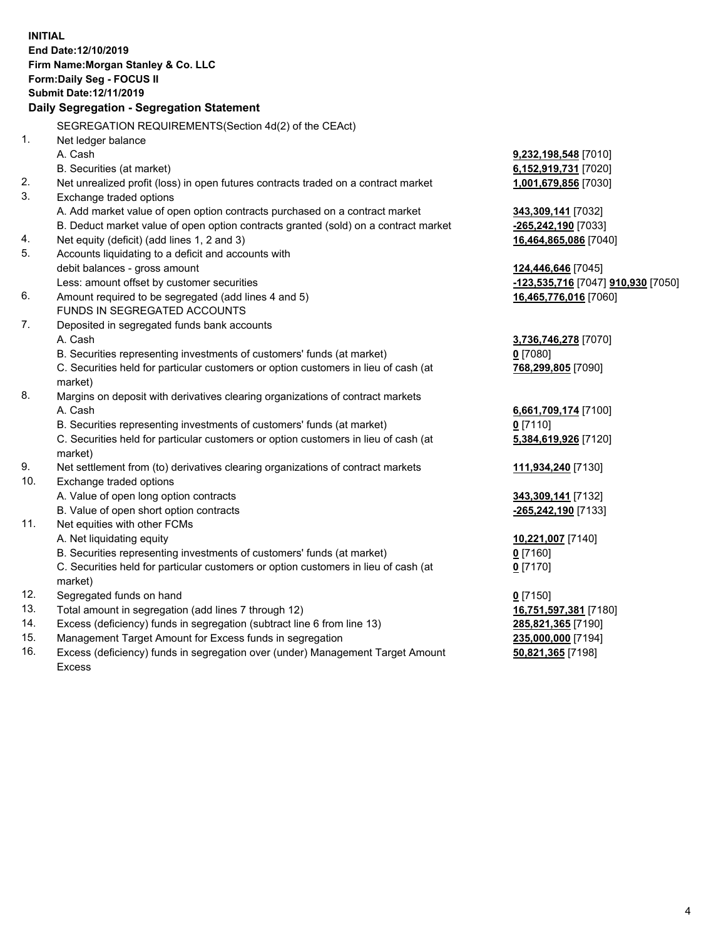|     | <b>INITIAL</b><br>End Date: 12/10/2019<br>Firm Name: Morgan Stanley & Co. LLC<br>Form: Daily Seg - FOCUS II<br>Submit Date: 12/11/2019<br>Daily Segregation - Segregation Statement |                                                  |
|-----|-------------------------------------------------------------------------------------------------------------------------------------------------------------------------------------|--------------------------------------------------|
|     | SEGREGATION REQUIREMENTS(Section 4d(2) of the CEAct)                                                                                                                                |                                                  |
| 1.  | Net ledger balance                                                                                                                                                                  |                                                  |
|     | A. Cash                                                                                                                                                                             | 9,232,198,548 [7010]                             |
|     | B. Securities (at market)                                                                                                                                                           | 6,152,919,731 [7020]                             |
| 2.  | Net unrealized profit (loss) in open futures contracts traded on a contract market                                                                                                  | 1,001,679,856 [7030]                             |
| 3.  | Exchange traded options                                                                                                                                                             |                                                  |
|     | A. Add market value of open option contracts purchased on a contract market                                                                                                         | 343,309,141 [7032]                               |
|     | B. Deduct market value of open option contracts granted (sold) on a contract market                                                                                                 | -265,242,190 [7033]                              |
| 4.  | Net equity (deficit) (add lines 1, 2 and 3)                                                                                                                                         | 16,464,865,086 [7040]                            |
| 5.  | Accounts liquidating to a deficit and accounts with                                                                                                                                 |                                                  |
|     | debit balances - gross amount                                                                                                                                                       | 124,446,646 [7045]                               |
|     | Less: amount offset by customer securities                                                                                                                                          | <u>-123,535,716</u> [7047] <u>910,930</u> [7050] |
| 6.  | Amount required to be segregated (add lines 4 and 5)                                                                                                                                | 16,465,776,016 [7060]                            |
|     | FUNDS IN SEGREGATED ACCOUNTS                                                                                                                                                        |                                                  |
| 7.  | Deposited in segregated funds bank accounts                                                                                                                                         |                                                  |
|     | A. Cash                                                                                                                                                                             | 3,736,746,278 [7070]                             |
|     | B. Securities representing investments of customers' funds (at market)                                                                                                              | $0$ [7080]                                       |
|     | C. Securities held for particular customers or option customers in lieu of cash (at                                                                                                 | 768,299,805 [7090]                               |
|     | market)                                                                                                                                                                             |                                                  |
| 8.  | Margins on deposit with derivatives clearing organizations of contract markets                                                                                                      |                                                  |
|     | A. Cash                                                                                                                                                                             | 6,661,709,174 [7100]                             |
|     | B. Securities representing investments of customers' funds (at market)                                                                                                              | $0$ [7110]                                       |
|     | C. Securities held for particular customers or option customers in lieu of cash (at<br>market)                                                                                      | 5,384,619,926 [7120]                             |
| 9.  | Net settlement from (to) derivatives clearing organizations of contract markets                                                                                                     | 111,934,240 [7130]                               |
| 10. | Exchange traded options                                                                                                                                                             |                                                  |
|     | A. Value of open long option contracts                                                                                                                                              | 343,309,141 [7132]                               |
|     | B. Value of open short option contracts                                                                                                                                             | -265,242,190 [7133]                              |
| 11. | Net equities with other FCMs                                                                                                                                                        |                                                  |
|     | A. Net liquidating equity                                                                                                                                                           | 10,221,007 [7140]                                |
|     | B. Securities representing investments of customers' funds (at market)                                                                                                              | 0 [7160]                                         |
|     | C. Securities held for particular customers or option customers in lieu of cash (at<br>market)                                                                                      | $0$ [7170]                                       |
| 12. | Segregated funds on hand                                                                                                                                                            | $0$ [7150]                                       |
| 13. | Total amount in segregation (add lines 7 through 12)                                                                                                                                | 16,751,597,381 [7180]                            |
| 14. | Excess (deficiency) funds in segregation (subtract line 6 from line 13)                                                                                                             | 285,821,365 [7190]                               |
| 15. | Management Target Amount for Excess funds in segregation                                                                                                                            | 235,000,000 [7194]                               |
| 16. | Excess (deficiency) funds in segregation over (under) Management Target Amount                                                                                                      | 50,821,365 [7198]                                |

Excess